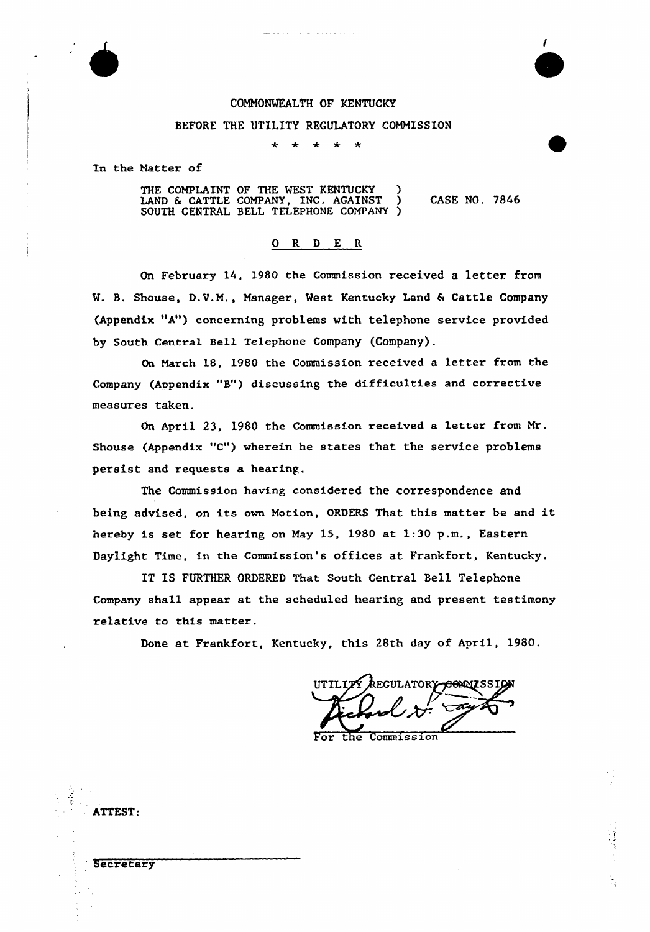

### COMMONWEALTH OF KENTUCKY

. . . . . . . . . . . . . . . .

#### BEFORE THE UTILITY REGULATORY COMMISSION

 $\bullet$  $\star$  $\star$ 

In the Natter of

ATTEST:

Secretary

THE COMPLAINT OF THE WEST KENTUCKY LAND & CATTLE COMPANY, INC. AGAINST ) CASE NO. 7846 SOUTH CENTRAL BELL TELEPHONE COMPANY )

### ORDER

On February 14, 1980 the Commission received a letter from W. B. Shouse, D.V.M., Manager, West Kentucky Land & Cattle Company (Appendix "A") concerning problems vith telephone service provided by South Central Sell Telephone Company (Company).

On March 18, 1980 the Commission received a letter from the Company (Appendix "B") discussing the difficulties and coxrective measures taken.

On April 23, 1980 the Commission received a letter from Mr. Shouse (Appendix "C") wherein he states that the service problems persist and requests a hearing.

The Commission having considered the correspondence and being advised, on its own Notion, ORDERS That this mattex be and it hexeby is set for hearing on May 15, 1980 at 1:30 p.m., Eastern Daylight Time, in the Commission's offices at Frankfoxt, Kentucky.

IT IS FURTHER ORDERED That South Central Bell Telephone Company shall appear at the scheduled hearing and present testimony relative to this matter.

Done at Frankfort, Kentucky, this 28th day of April, 1980.

**REGULATORY** the Commission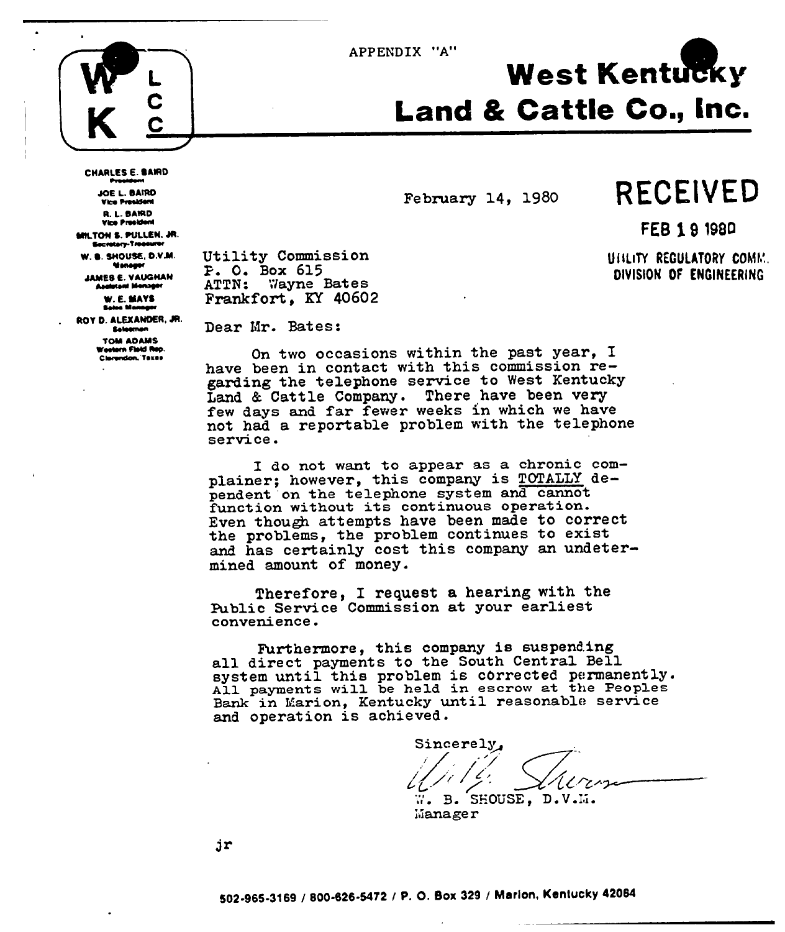APPENDIX "A"



**CHARLES E. BAIRD** 

JOE L. BAIRD

**Vice President** R. L. BAIRD Vice President

MILTON S. PULLEN. JR. **Sacratory-Trooburer** 

W. B. SHOUSE, D.V.M.

**Monager** 

**JAMES E. VAUGHAN** 

**Analytent Menager** 

# **West Kentucky Land & Cattle Co., Inc.**

February 14. 1980

## **RECEIVED**

FEB 1 9 1980

UILLITY REGULATORY COMM. DIVISION OF ENGINEERING

Utility Commission P. O. Box 615 ATTN: Wayne Bates Frankfort, KY 40602

W. E. MAYS **Sales Mann** ROY D. ALEXANDER. JR. **Selection** 

> **TOM ADAMS** Western Floid Rep. Clerendon, Texas

Dear Mr. Bates:

On two occasions within the past year, I have been in contact with this commission regarding the telephone service to West Kentucky Land & Cattle Company. There have been very few days and far fewer weeks in which we have not had a reportable problem with the telephone service.

I do not want to appear as a chronic complainer; however, this company is TOTALLY dependent on the telephone system and cannot function without its continuous operation. Even though attempts have been made to correct the problems, the problem continues to exist and has certainly cost this company an undetermined amount of money.

Therefore, I request a hearing with the Public Service Commission at your earliest convenience.

Furthermore, this company is suspending all direct payments to the South Central Bell system until this problem is corrected permanently.<br>All payments will be held in escrow at the Peoples Bank in Marion, Kentucky until reasonable service and operation is achieved.

Sincerely, W. B. SHOUSE, D.V.M.

Manager

jr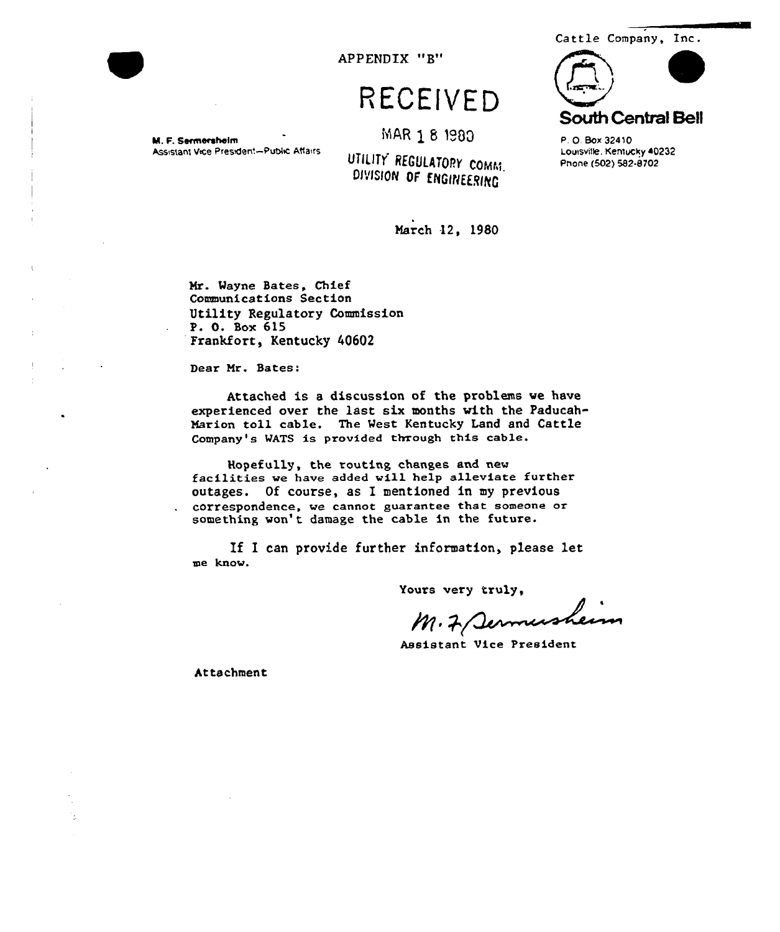

APPENDIX "B"

## RECEIVED

MAR 1 8 1980

M. F. Sermersheim Assistant Vice President-Public Affairs

UTILITY REGULATORY COMM. DIVISION OF ENGINEERING



P.O. Box 32410 Louisville, Kentucky 40232 Phone (502) 582-8702

March 12, 1980

Mr. Wayne Bates, Chief Communications Section Utility Regulatory Commission P. O. Box 615 Frankfort, Kentucky 40602

Dear Mr. Bates:

Attached is a discussion of the problems we have experienced over the last six months with the Paducah-Marion toll cable. The West Kentucky Land and Cattle Company's WATS is provided through this cable.

Hopefully, the routing changes and new facilities we have added will help alleviate further outages. Of course, as I mentioned in my previous correspondence, we cannot guarantee that someone or something won't damage the cable in the future.

If I can provide further information, please let me know.

Yours very truly,

M. 7 Sermusheum

Assistant Vice President

Attachment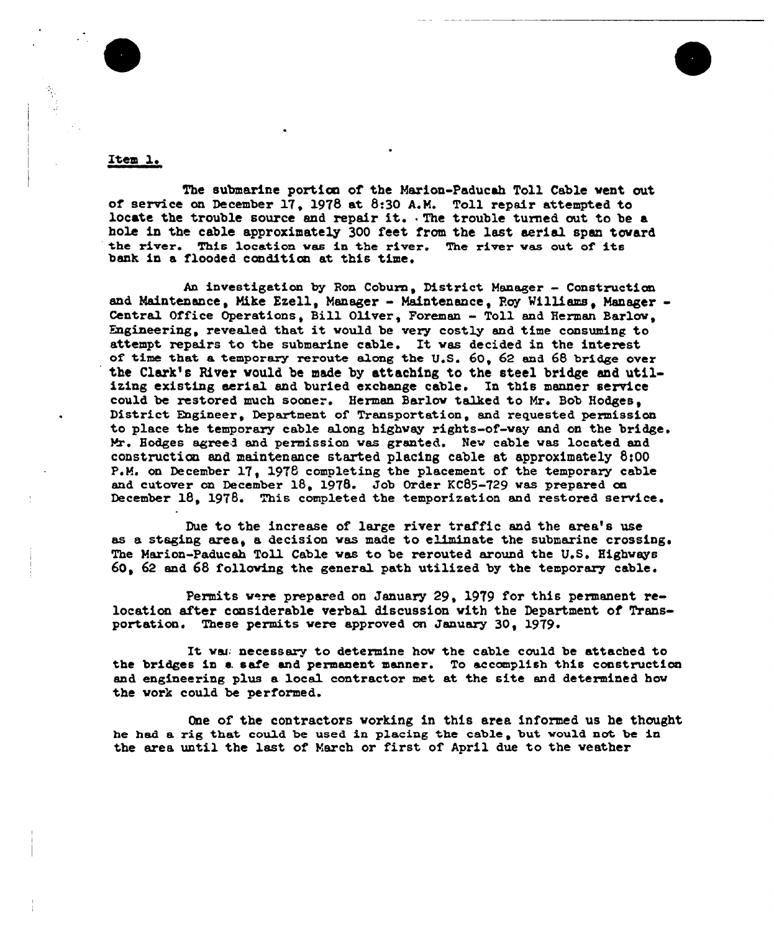



#### Item 1.

The submarine portion of the Marion-Paducsh Toll Cable vent out of service on December 17, 1978 at 8:30 A.M. Toll repair attempted to locate the trouble source and repair it. The trouble turned out to be a hole in the cable approximately 300 feet from the last aerial span toward the river. This location was in the river. The river was out of its bank in a flooded condition at this time.

An investigation by Ron Coburn, District Manager - Construction and Maintenance. Mike Ezell. Manager - Maintenance, Roy Williams, Manager -Central Office Operations, Bill Oliver, Foreman - Toll and Herman Barlow, Engineering, revealed that it would be very costly and time consuming to attempt repairs to the submarine cable. It was decided in the interest of time that a temporary reroute along the U.S.  $60, 62$  and  $68$  bridge over the Clark's River would be made by attaching to the steel bridge and utilizing existing aerial and buried exchange cable. In this manner service could be restored much sooner. Herman Barlow talked to Mr. Bob Hodges. District Engineer, Depsrtmen\* of Transportation, snd requested permission to place the temporary cable along highway rights-of-way and on the bridge. Mr. Hodges agreed and permission was granted. New cable was located and construction and maintenance started placing cable at approximately 8:00 P.M. on December 17. 1978 completing the placement of the temporary cable and cutover on December 18. 1978. Job Order KC85-729 was prepared on December 18, 1978. This completed the temporization and restored service.

Due to the increase of large river traffic and the area's use as a staging area, a decision was made to eliminate the submarine crossing. The Marion-Paducah Toll Cable was to be rerouted around the U.S. Highways  $60.62$  and  $68$  following the general path utilized by the temporary cable.

Permits were prepared on January 29, 1979 for this permanent relocatian after cansiderable verbal discussion vith the Department of Transportation. These permits were approved on January 30, 1979.

It was necessary to determine how the cable could be attached to the bridges in s. safe snd permanent manner. To accomplish this construction and engineering plus a local contractor met at the site and determined how the vork could be performed.

One of the contractors working in this area informed us he thought he had a rig that could be used in placing the cable, but would not be in the area until the last of March or first of April due to the weather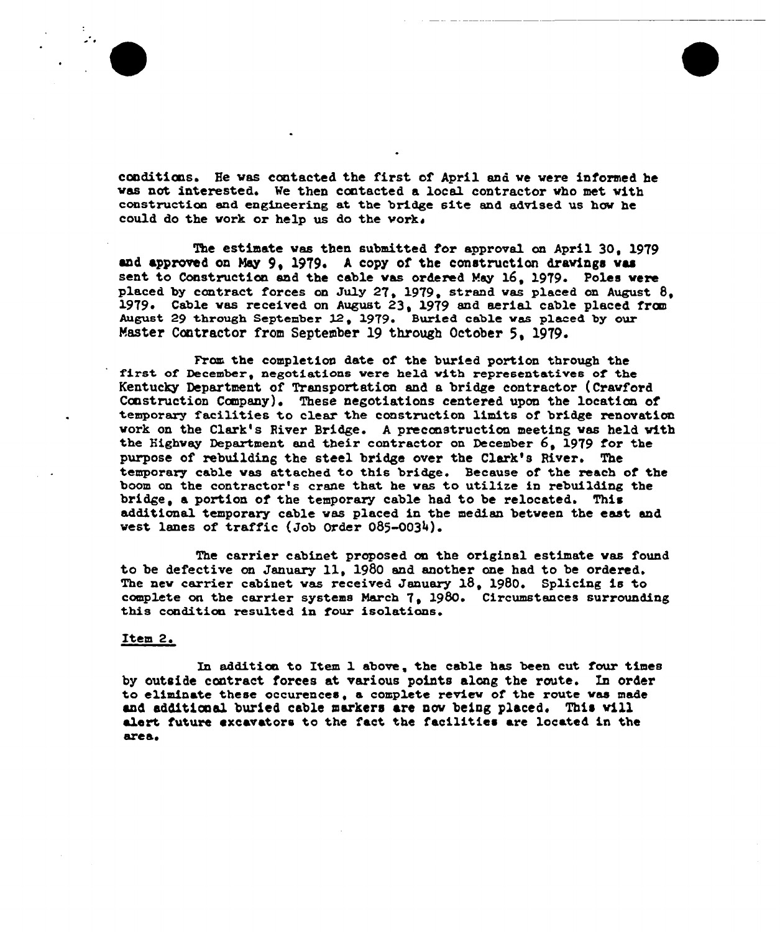conditions. He was contacted the first of April and we were informed he vas not interested. Ve then contacted a local contractor vho met vith construction and engineering at the bridge site and advised us hov he could do the vork or help us do the vork.

The estimate was then submitted for approval on April 30, 1979 and approved on May 9, 1979. A copy of the construction drawings was sent to Construction and the cable was ordered May 16, 1979. Poles were placed by contract forces on July 27, 1979, strand was placed on August  $8$ , 1979. Cable vas received on August 23, 1979 and aerial cable placed from August 29 through September 12, 1979. Buried cable was placed by our Master Contractor from September 19 through October 5, 1979.

Fram the completion date of the buried portion through the first of December, negotiations vere held vith representatives of the Kentucky Department of Transportation and a bridge contractor (Crawford Construction Company). These negotiations centered upon the location of temporary facilities to clear the construction limits of bridge renovation vork on the Clark's River Bridge. <sup>A</sup> preeanstructian meeting vas held with the Highway Department and their contractor on December  $6. 1979$  for the purpose of rebuilding the steel bridge over the Clark's River. The temporary cable vas attached to this bridge. Because of the reach of the boom on the contractor's crane that he was to utilize in rebuilding the bridge, a portion of the temporary cable had to be relocated. This additional temporary cable vas placed in the median between the east and vest lanes of traffic (Job Order 085-0034).

The carrier cabinet proposed on the original estimate was found to be defective on January 11, 1980 and another one had to be ordered. The nev carrier cabinet vas received January 18, 1980. Splicing is to complete on the carrier systems March 7, 1980. Circumstances surrounding this condition resulted in four isolations.

#### Item 2

In addition to Item 1 above, the cable has been eut four times by outside contract forces at various points along the route. In order to eliminate these occurences, a complete review of the route was made and additicoal buried cable markers are nov being placed. This vill alert future cxcavators to the fact the facilities are located in the areas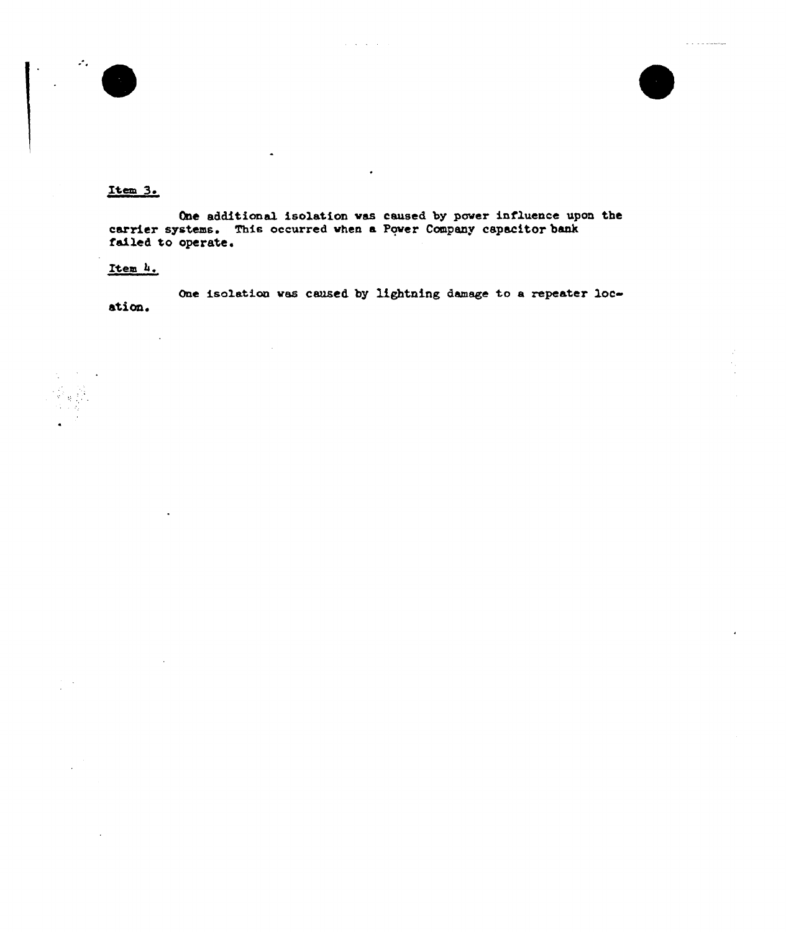

 $\mathcal{L}_{\mathcal{A}}$ 

#### Item 3.

One additional isolation was caused by power influence upon the carrier systems. This occurred when a Power Company capacitor bank failed to operate.

#### Item 4.

 $\ddot{\phantom{a}}$ 

One isolation was caused by lightning damage to a repeater location.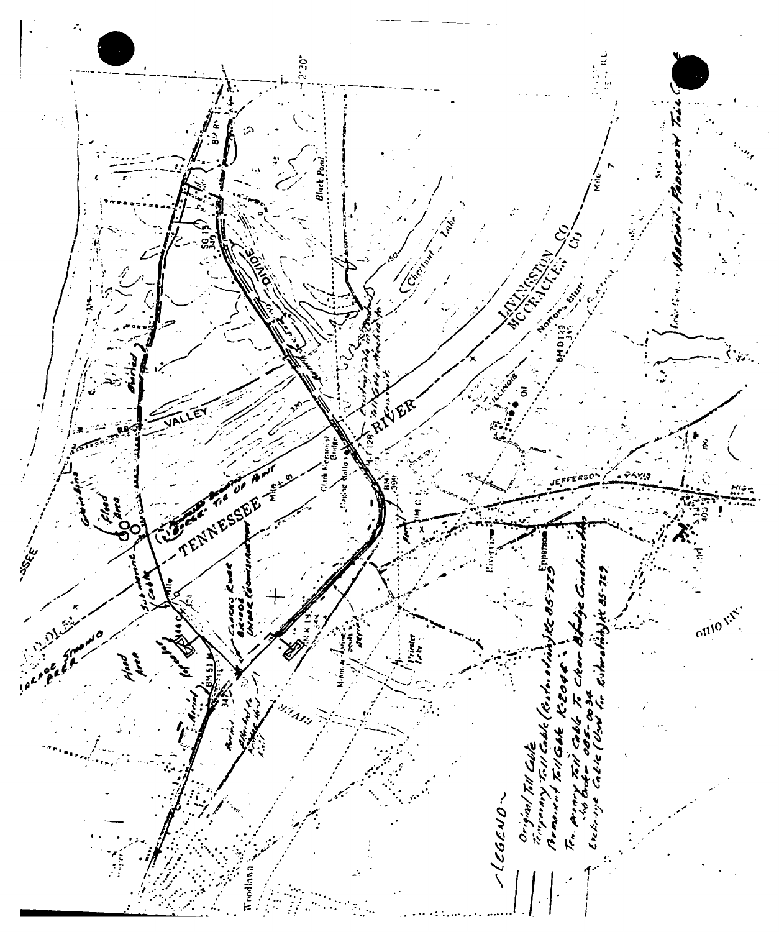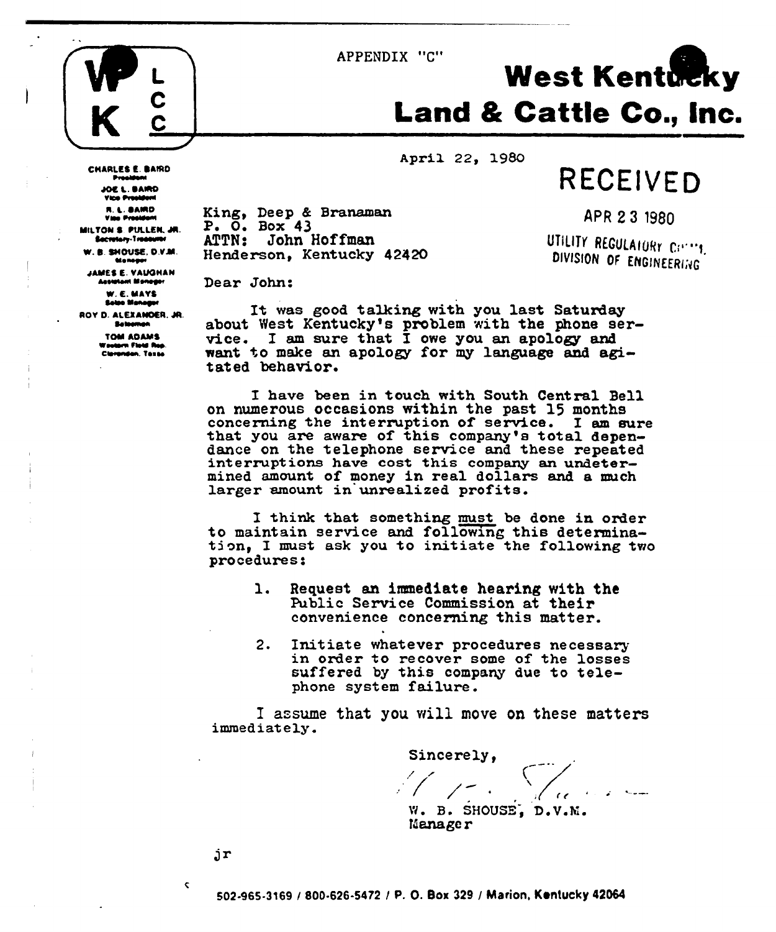



**CHARLES E. BAIRD** 

MILTON S. PULLEN, JR.

Becretary-Treasurer W. B. SHOUSE, D.V.M.

**Moneye** JAMES E. VAUGHAN Annunaut Mannane

> W. E. MAYS Sales Manager

ROY D. ALEXANDER, JR.

**Selection** TOM ADAMS

Clevenden, Taxas

rn Flotd Rop.

Presid **JOE L. BAIRD Vice President** R. L. BAIRD<br>Vise President

# **West Kentucky Land & Cattle Co., Inc.**

April 22, 1980

RECEIVED

King, Deep & Branaman  $P. O. Box 43$ ATTN: John Hoffman Henderson, Kentucky 42420

APR 23 1980

UTILITY REGULATORY CONT. DIVISION OF ENGINEERING

Dear John:

It was good talking with you last Saturday about West Kentucky's problem with the phone service. I am sure that I owe you an apology and want to make an apology for my language and agitated behavior.

I have been in touch with South Central Bell on numerous occasions within the past 15 months concerning the interruption of service. I am sure that you are aware of this company's total dependance on the telephone service and these repeated interruptions have cost this company an undetermined amount of money in real dollars and a much larger amount in unrealized profits.

I think that something must be done in order to maintain service and following this determination, I must ask you to initiate the following two procedures:

- Request an immediate hearing with the 1. Public Service Commission at their convenience concerning this matter.
- 2. Initiate whatever procedures necessary in order to recover some of the losses suffered by this company due to telephone system failure.

I assume that you will move on these matters immediately.

Sincerely, W. B. SHOUSE, D.V.M.

Manager

jr

 $\mathbf{C}$